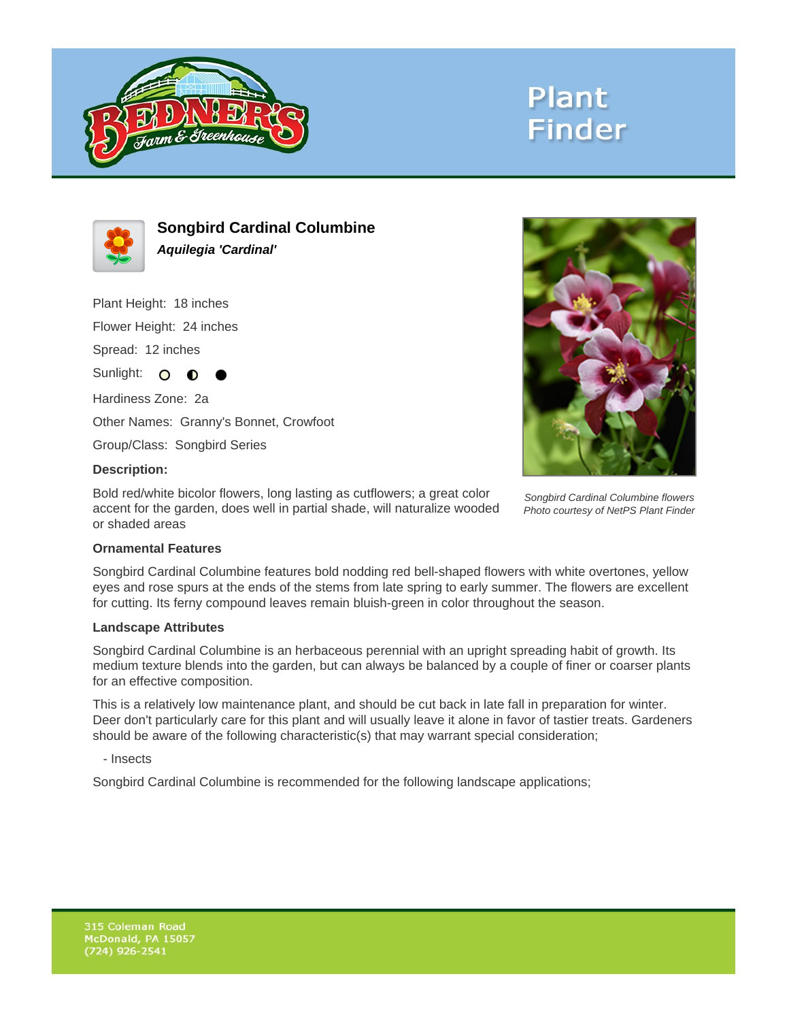

# **Plant Finder**



**Songbird Cardinal Columbine Aquilegia 'Cardinal'**

Plant Height: 18 inches

Flower Height: 24 inches

Spread: 12 inches

Sunlight: O **O** 

Hardiness Zone: 2a

Other Names: Granny's Bonnet, Crowfoot

Group/Class: Songbird Series

#### **Description:**

Bold red/white bicolor flowers, long lasting as cutflowers; a great color accent for the garden, does well in partial shade, will naturalize wooded or shaded areas



Songbird Cardinal Columbine flowers Photo courtesy of NetPS Plant Finder

### **Ornamental Features**

Songbird Cardinal Columbine features bold nodding red bell-shaped flowers with white overtones, yellow eyes and rose spurs at the ends of the stems from late spring to early summer. The flowers are excellent for cutting. Its ferny compound leaves remain bluish-green in color throughout the season.

#### **Landscape Attributes**

Songbird Cardinal Columbine is an herbaceous perennial with an upright spreading habit of growth. Its medium texture blends into the garden, but can always be balanced by a couple of finer or coarser plants for an effective composition.

This is a relatively low maintenance plant, and should be cut back in late fall in preparation for winter. Deer don't particularly care for this plant and will usually leave it alone in favor of tastier treats. Gardeners should be aware of the following characteristic(s) that may warrant special consideration;

- Insects

Songbird Cardinal Columbine is recommended for the following landscape applications;